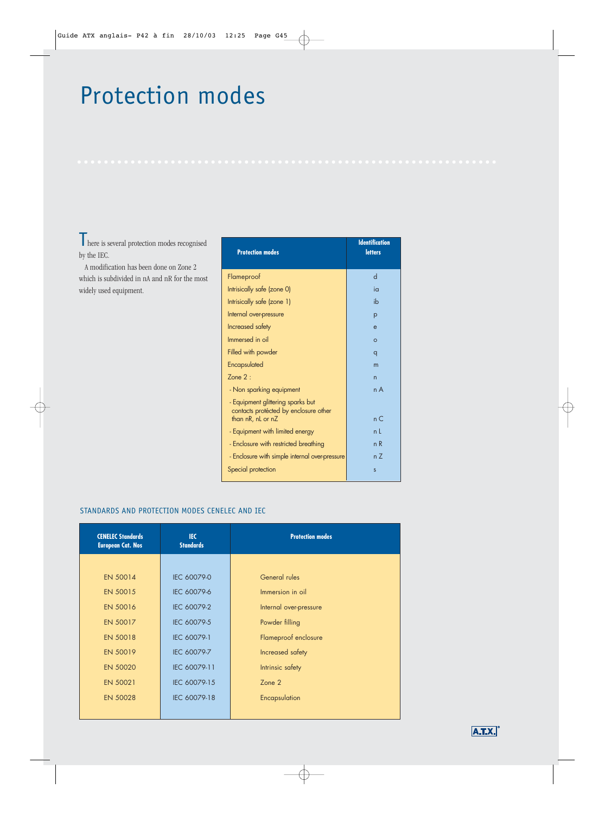# Protection modes

There is several protection modes recognised by the IEC.

A modification has been done on Zone 2 which is subdivided in nA and nR for the most widely used equipment.

| <b>Protection modes</b>                                                    | <b>Identification</b><br><b>letters</b> |
|----------------------------------------------------------------------------|-----------------------------------------|
| Flameproof                                                                 | d                                       |
| Intrisically safe (zone 0)                                                 | ia                                      |
| Intrisically safe (zone 1)                                                 | ib                                      |
| Internal over-pressure                                                     | p                                       |
| Increased safety                                                           | $\mathbf{e}$                            |
| Immersed in oil                                                            | $\circ$                                 |
| Filled with powder                                                         | q                                       |
| Encapsulated                                                               | m                                       |
| $7$ one $2 \cdot$                                                          | n                                       |
| - Non sparking equipment                                                   | n A                                     |
| - Equipment glittering sparks but<br>contacts protécted by enclosure other |                                         |
| than nR, nL or nZ                                                          | $n \subset$                             |
| - Equipment with limited energy                                            | n I                                     |
| - Enclosure with restricted breathing                                      | n R                                     |
| - Enclosure with simple internal over-pressure                             | n 7                                     |
| Special protection                                                         | S                                       |

#### STANDARDS AND PROTECTION MODES CENELEC AND IEC

| <b>CENELEC Standards</b><br><b>European Cat. Nos</b> | IEC.<br><b>Standards</b> | <b>Protection modes</b> |
|------------------------------------------------------|--------------------------|-------------------------|
|                                                      |                          |                         |
| EN 50014                                             | IEC 60079-0              | <b>General rules</b>    |
| EN 50015                                             | IEC 60079-6              | Immersion in oil        |
| <b>EN 50016</b>                                      | IEC 60079-2              | Internal over-pressure  |
| EN 50017                                             | IEC 60079-5              | Powder filling          |
| <b>EN 50018</b>                                      | IEC 60079-1              | Flameproof enclosure    |
| EN 50019                                             | IEC 60079-7              | Increased safety        |
| <b>EN 50020</b>                                      | IEC 60079-11             | Intrinsic safety        |
| EN 50021                                             | IEC 60079-15             | Zone 2                  |
| <b>EN 50028</b>                                      | IEC 60079-18             | Encapsulation           |

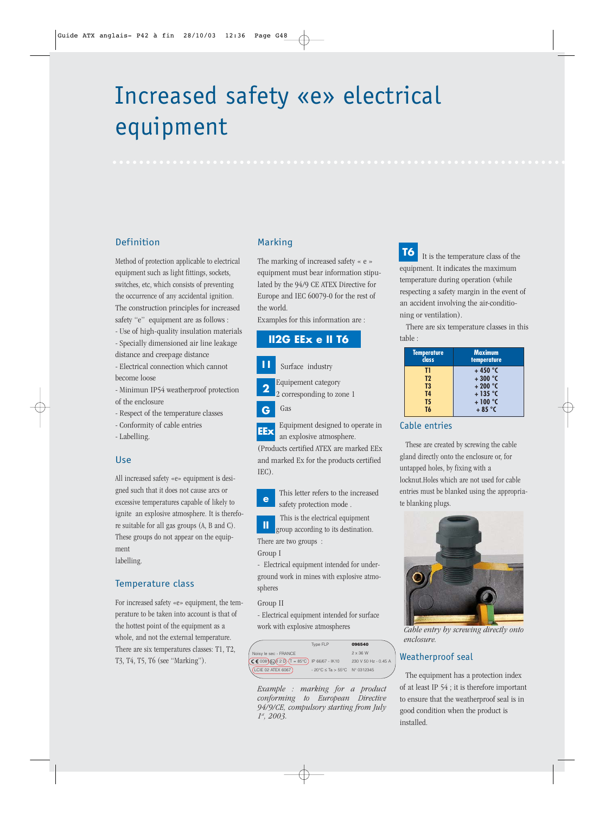# Increased safety «e» electrical equipment

# Definition

Method of protection applicable to electrical equipment such as light fittings, sockets, switches, etc, which consists of preventing the occurrence of any accidental ignition. The construction principles for increased safety "e" equipment are as follows :

- Use of high-quality insulation materials - Specially dimensioned air line leakage

- distance and creepage distance
- Electrical connection which cannot become loose
- Minimun IP54 weatherproof protection of the enclosure
- Respect of the temperature classes
- Conformity of cable entries
- Labelling.

#### Use

All increased safety «e» equipment is designed such that it does not cause arcs or excessive temperatures capable of likely to ignite an explosive atmosphere. It is therefore suitable for all gas groups (A, B and C). These groups do not appear on the equipment

labelling.

# Temperature class

For increased safety «e» equipment, the temperature to be taken into account is that of the hottest point of the equipment as a whole, and not the external temperature. There are six temperatures classes: T1, T2, T3, T4, T5, T6 (see "Marking").

# Marking

The marking of increased safety « e » equipment must bear information stipulated by the 94/9 CE ATEX Directive for Europe and IEC 60079-0 for the rest of the world.

Examples for this information are :

# **II2G EEx e II T6**

- Surface industry **I I**
- Equipement category
- 2 corresponding to zone 1 **2**



Equipment designed to operate in an explosive atmosphere. **EEx**

(Products certified ATEX are marked EEx and marked Ex for the products certified IEC).

This letter refers to the increased safety protection mode . **e**

This is the electrical equipment

group according to its destination. There are two groups : **II**

Group I

- Electrical equipment intended for underground work in mines with explosive atmospheres

#### Group II

- Electrical equipment intended for surface work with explosive atmospheres

| Type FLP<br>096540                                                                         |  |
|--------------------------------------------------------------------------------------------|--|
| $2 \times 36$ W<br>Noisy le sec - FRANCE                                                   |  |
| $(C \in 008)$ (x) $(12 D \cdot (T = 85^{\circ}C))$ IP 66/67 - IK10<br>230 V 50 Hz - 0.45 A |  |
| (LCIE 02 ATEX 6067)<br>- 20°C $\le$ Ta > 55°C N° 0312345                                   |  |

*Example : marking for a product conforming to European Directive 94/9/CE, compulsory starting from July 1st, 2003.*

It is the temperature class of the equipment. It indicates the maximum temperature during operation (while respecting a safety margin in the event of an accident involving the air-conditioning or ventilation). **T6**

There are six temperature classes in this table :

| <b>Temperature</b><br>člass | <b>Maximum</b><br>temperature |
|-----------------------------|-------------------------------|
| TI                          | $+450$ °C                     |
| T <sub>2</sub>              | $+300$ °C                     |
| T <sub>3</sub>              | $+200$ °C                     |
| <b>T4</b>                   | $+135$ °C                     |
| T5                          | $+100 °C$                     |
| T6                          | $+85$ °C                      |

### Cable entries

These are created by screwing the cable gland directly onto the enclosure or, for untapped holes, by fixing with a locknut.Holes which are not used for cable entries must be blanked using the appropriate blanking plugs.



*Cable entry by screwing directly onto enclosure.*

# Weatherproof seal

The equipment has a protection index of at least IP 54 ; it is therefore important to ensure that the weatherproof seal is in good condition when the product is installed.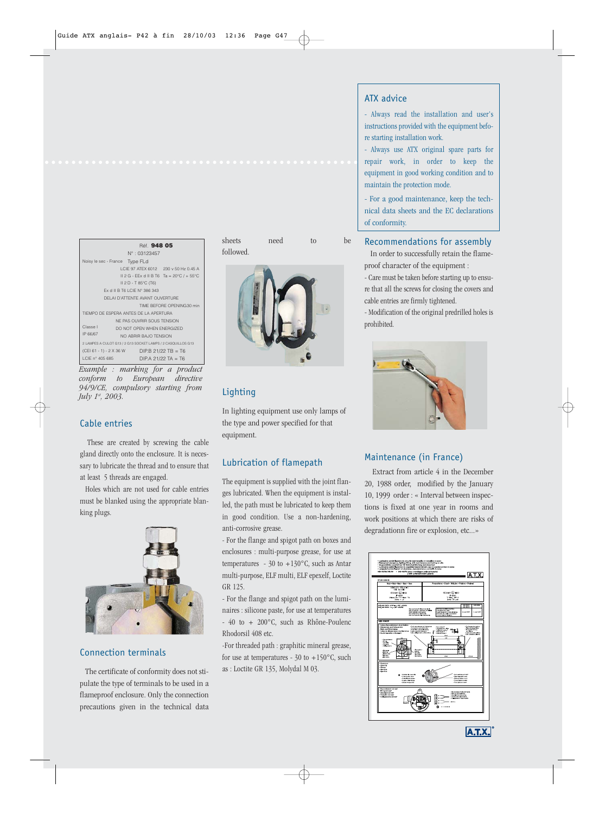|                                                              | Réf. 948 05<br>$N^{\circ}$ : 03123457                |  |
|--------------------------------------------------------------|------------------------------------------------------|--|
| Noisy le sec - France Type FLd                               | LCIF 97 ATFX 6012 230 v 50 Hz 0.45 A                 |  |
|                                                              | II 2 G - EEx d II B T6 Ta = $20^{\circ}$ C / + 55 °C |  |
| $II 2 D - T 85^{\circ}C (T6)$                                |                                                      |  |
| Fx d II B T6 LCIE N° 386 343                                 |                                                      |  |
| DELALD'ATTENTE AVANT OUVERTURE                               |                                                      |  |
| TIME BEEORE OPENING30 min                                    |                                                      |  |
| TIFMPO DE ESPERA ANTES DE LA APERTURA                        |                                                      |  |
| NE PAS OUVRIB SOUS TENSION                                   |                                                      |  |
| Classe I                                                     | DO NOT OPEN WHEN ENERGIZED                           |  |
| IP 66/67                                                     | NO ABRIR BAJO TENSION                                |  |
| 2 LAMPES A CULOT G13 / 2 G13 SOCKET LAMPS / 2 CASOUILLOS G13 |                                                      |  |
| (CEI 61 - 1) - 2 X 36 W                                      | $DIP.B$ 21/22 TB = T6                                |  |
| LCIE nº 405 685                                              | DIP.A 21/22 TA = T6                                  |  |

*Example : marking for a product conform to European directive 94/9/CE, compulsory starting from July 1st, 2003.*

#### Cable entries

These are created by screwing the cable gland directly onto the enclosure. It is necessary to lubricate the thread and to ensure that at least 5 threads are engaged.

Holes which are not used for cable entries must be blanked using the appropriate blanking plugs.



## Connection terminals

The certificate of conformity does not stipulate the type of terminals to be used in a flameproof enclosure. Only the connection precautions given in the technical data

sheets need to be followed.



## Lighting

In lighting equipment use only lamps of the type and power specified for that equipment.

# Lubrication of flamepath

The equipment is supplied with the joint flanges lubricated. When the equipment is installed, the path must be lubricated to keep them in good condition. Use a non-hardening, anti-corrosive grease.

- For the flange and spigot path on boxes and enclosures : multi-purpose grease, for use at temperatures -  $30$  to  $+130^{\circ}$ C, such as Antar multi-purpose, ELF multi, ELF epexelf, Loctite GR 125.

- For the flange and spigot path on the luminaires : silicone paste, for use at temperatures - 40 to + 200°C, such as Rhône-Poulenc Rhodorsil 408 etc.

-For threaded path : graphitic mineral grease, for use at temperatures -  $30$  to  $+150^{\circ}$ C, such as : Loctite GR 135, Molydal M 03.

# ATX advice

- Always read the installation and user's instructions provided with the equipment before starting installation work.

- Always use ATX original spare parts for repair work, in order to keep the equipment in good working condition and to maintain the protection mode.

- For a good maintenance, keep the technical data sheets and the EC declarations of conformity.

#### Recommendations for assembly

In order to successfully retain the flameproof character of the equipment :

- Care must be taken before starting up to ensure that all the screws for closing the covers and cable entries are firmly tightened.

- Modification of the original predrilled holes is prohibited.



### Maintenance (in France)

Extract from article 4 in the December 20, 1988 order, modified by the January 10, 1999 order : « Interval between inspections is fixed at one year in rooms and work positions at which there are risks of degradationn fire or explosion, etc...»



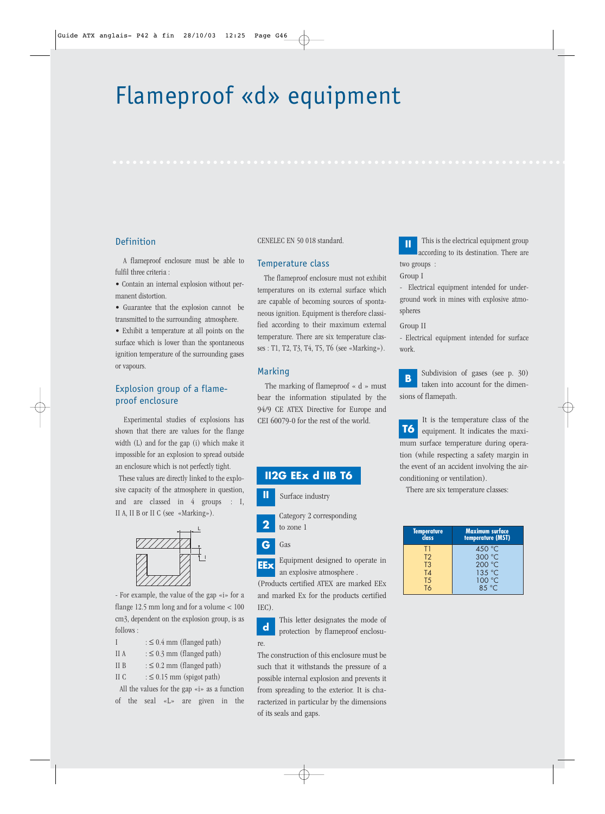# Flameproof «d» equipment

### Definition

A flameproof enclosure must be able to fulfil three criteria :

• Contain an internal explosion without permanent distortion.

• Guarantee that the explosion cannot be transmitted to the surrounding atmosphere.

• Exhibit a temperature at all points on the surface which is lower than the spontaneous ignition temperature of the surrounding gases or vapours.

# Explosion group of a flameproof enclosure

Experimental studies of explosions has shown that there are values for the flange width (L) and for the gap (i) which make it impossible for an explosion to spread outside an enclosure which is not perfectly tight.

These values are directly linked to the explosive capacity of the atmosphere in question, and are classed in 4 groups : I, II A, II B or II C (see «Marking»).



- For example, the value of the gap «i» for a flange 12.5 mm long and for a volume < 100 cm3, dependent on the explosion group, is as follows :

| : $\leq$ 0.4 mm (flanged path) |
|--------------------------------|
|                                |

- II A  $: \leq 0.3$  mm (flanged path)
- II B  $: \leq 0.2$  mm (flanged path)
- II C  $: \leq 0.15$  mm (spigot path)

All the values for the gap «i» as a function of the seal «L» are given in the CENELEC EN 50 018 standard.

#### Temperature class

The flameproof enclosure must not exhibit temperatures on its external surface which are capable of becoming sources of spontaneous ignition. Equipment is therefore classified according to their maximum external temperature. There are six temperature classes : T1, T2, T3, T4, T5, T6 (see «Marking»).

#### Marking

The marking of flameproof « d » must bear the information stipulated by the 94/9 CE ATEX Directive for Europe and CEI 60079-0 for the rest of the world.

# **II2G EEx d IIB T6**

Surface industry **II**

- Category 2 corresponding
- to zone 1 **2**

#### Gas **G**

Equipment designed to operate in an explosive atmosphere . **EEx**

(Products certified ATEX are marked EEx and marked Ex for the products certified IEC).

This letter designates the mode of protection by flameproof enclosure. **d**

The construction of this enclosure must be such that it withstands the pressure of a possible internal explosion and prevents it from spreading to the exterior. It is characterized in particular by the dimensions of its seals and gaps.

This is the electrical equipment group according to its destination. There are two groups : **II**

#### Group I

- Electrical equipment intended for underground work in mines with explosive atmospheres

#### Group II

- Electrical equipment intended for surface work.

Subdivision of gases (see p. 30) taken into account for the dimensions of flamepath. **B**

It is the temperature class of the equipment. It indicates the maximum surface temperature during operation (while respecting a safety margin in the event of an accident involving the airconditioning or ventilation). **T6**

There are six temperature classes:

| <b>Temperature</b><br>class | Maximum surface<br>temperature (MST) |
|-----------------------------|--------------------------------------|
| ŒΤ                          | 450 $^{\circ}$ C                     |
| T <sub>2</sub>              | 300 °C                               |
| T <sub>3</sub>              | 200 °C                               |
| T4                          | 135 °C                               |
| <b>T5</b>                   | 100 °C                               |
| $T_{\textit{h}}$            | 85 °C                                |